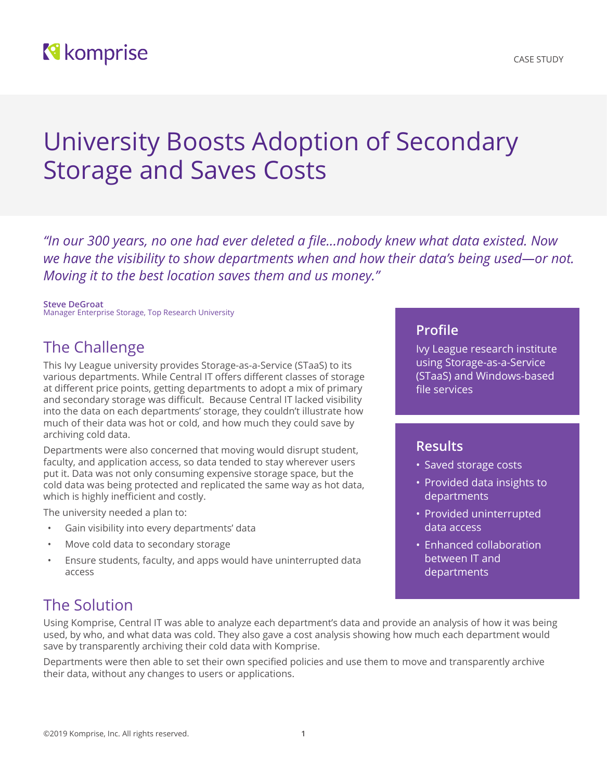## **N** komprise

# University Boosts Adoption of Secondary Storage and Saves Costs

*"In our 300 years, no one had ever deleted a file...nobody knew what data existed. Now we have the visibility to show departments when and how their data's being used—or not. Moving it to the best location saves them and us money."*

**Steve DeGroat** Manager Enterprise Storage, Top Research University

### The Challenge

This Ivy League university provides Storage-as-a-Service (STaaS) to its various departments. While Central IT offers different classes of storage at different price points, getting departments to adopt a mix of primary and secondary storage was difficult. Because Central IT lacked visibility into the data on each departments' storage, they couldn't illustrate how much of their data was hot or cold, and how much they could save by archiving cold data.

Departments were also concerned that moving would disrupt student, faculty, and application access, so data tended to stay wherever users put it. Data was not only consuming expensive storage space, but the cold data was being protected and replicated the same way as hot data, which is highly inefficient and costly.

The university needed a plan to:

- Gain visibility into every departments' data
- Move cold data to secondary storage
- Ensure students, faculty, and apps would have uninterrupted data access

#### **Profile**

Ivy League research institute using Storage-as-a-Service (STaaS) and Windows-based file services

#### **Results**

- Saved storage costs
- Provided data insights to departments
- Provided uninterrupted data access
- Enhanced collaboration between IT and departments

## The Solution

Using Komprise, Central IT was able to analyze each department's data and provide an analysis of how it was being used, by who, and what data was cold. They also gave a cost analysis showing how much each department would save by transparently archiving their cold data with Komprise.

Departments were then able to set their own specified policies and use them to move and transparently archive their data, without any changes to users or applications.